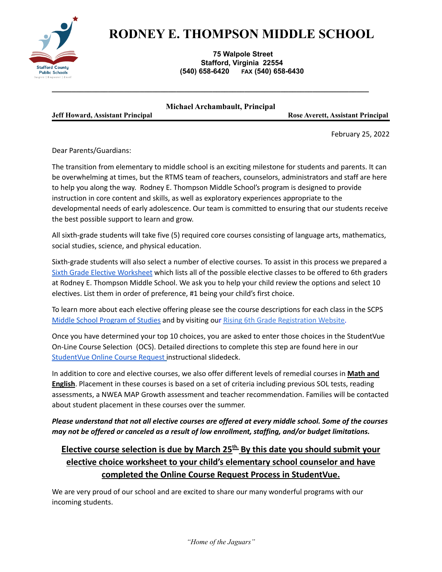

## **RODNEY E. THOMPSON MIDDLE SCHOOL**

## **75 Walpole Street Stafford, Virginia 22554 (540) 658-6420 FAX (540) 658-6430**

|                                         | Michael Archambault, Principal |                 |
|-----------------------------------------|--------------------------------|-----------------|
| <b>Jeff Howard, Assistant Principal</b> |                                | <b>Rose Ave</b> |

**Jeff Howard, Assistant Principal Rose Averett, Assistant Principal**

February 25, 2022

Dear Parents/Guardians:

The transition from elementary to middle school is an exciting milestone for students and parents. It can be overwhelming at times, but the RTMS team of *t*eachers, counselors, administrators and staff are here to help you along the way. Rodney E. Thompson Middle School's program is designed to provide instruction in core content and skills, as well as exploratory experiences appropriate to the developmental needs of early adolescence. Our team is committed to ensuring that our students receive the best possible support to learn and grow.

*\_\_\_\_\_\_\_\_\_\_\_\_\_\_\_\_\_\_\_\_\_\_\_\_\_\_\_\_\_\_\_\_\_\_\_\_\_\_\_\_\_\_\_\_\_\_\_\_\_\_\_\_\_\_\_\_\_\_\_\_\_\_\_\_\_\_\_\_\_\_\_\_\_\_\_\_\_\_\_*

All sixth-grade students will take five (5) required core courses consisting of language arts, mathematics, social studies, science, and physical education.

Sixth-grade students will also select a number of elective courses. To assist in this process we prepared a Sixth Grade Elective [Worksheet](https://docs.google.com/document/d/13Jp8A4oiq4VtUFUfkS8AqDm5nBLPohKBEBIlvRoPL6Y/edit#heading=h.gjdgxs) which lists all of the possible elective classes to be offered to 6th graders at Rodney E. Thompson Middle School. We ask you to help your child review the options and select 10 electives. List them in order of preference, #1 being your child's first choice.

To learn more about each elective offering please see the course descriptions for each class in the SCPS Middle School [Program](https://www.staffordschools.net/Page/33078) of Studies and by visiting our Rising 6th Grade [Registration](https://sites.google.com/staffordschools.net/rtms-rising-6th-graders/home) Website.

Once you have determined your top 10 choices, you are asked to enter those choices in the StudentVue On-Line Course Selection (OCS). Detailed directions to complete this step are found here in our [StudentVue](https://docs.google.com/presentation/d/1sFf9gKiY8BLejjMSUJG7HYa9l5wgWMervz5esvOAnfY/edit#slide=id.g114aa258107_1_6) Online Course Request instructional slidedeck.

In addition to core and elective courses, we also offer different levels of remedial courses in **Math and English**. Placement in these courses is based on a set of criteria including previous SOL tests, reading assessments, a NWEA MAP Growth assessment and teacher recommendation. Families will be contacted about student placement in these courses over the summer.

*Please understand that not all elective courses are offered at every middle school. Some of the courses may not be offered or canceled as a result of low enrollment, staffing, and/or budget limitations.*

## **Elective course selection is due by March 25 th. By this date you should submit your elective choice worksheet to your child's elementary school counselor and have completed the Online Course Request Process in StudentVue.**

We are very proud of our school and are excited to share our many wonderful programs with our incoming students.